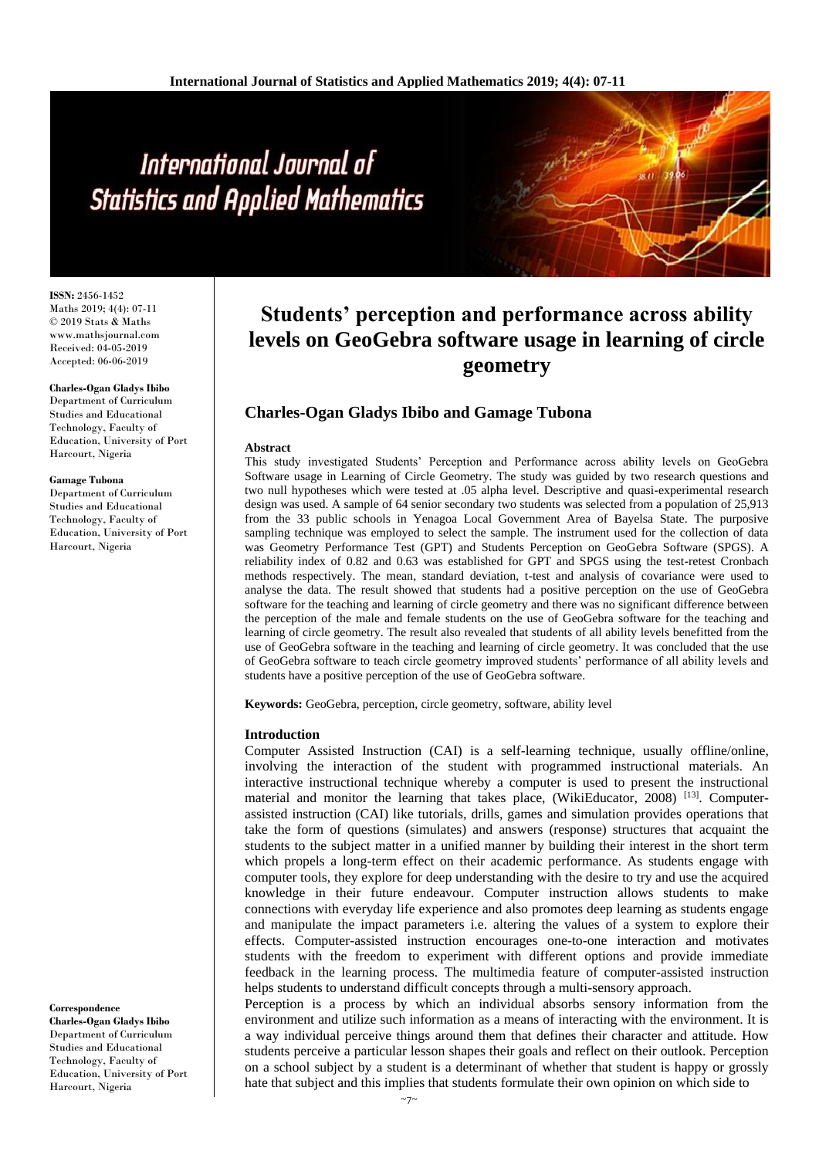# International Journal of **Statistics and Applied Mathematics**

**ISSN:** 2456-1452 Maths 2019; 4(4): 07-11 © 2019 Stats & Maths www.mathsjournal.com Received: 04-05-2019 Accepted: 06-06-2019

#### **Charles-Ogan Gladys Ibibo**

Department of Curriculum Studies and Educational Technology, Faculty of Education, University of Port Harcourt, Nigeria

#### **Gamage Tubona**

Department of Curriculum Studies and Educational Technology, Faculty of Education, University of Port Harcourt, Nigeria

#### **Correspondence**

**Charles-Ogan Gladys Ibibo** Department of Curriculum Studies and Educational Technology, Faculty of Education, University of Port Harcourt, Nigeria

# **Students' perception and performance across ability levels on GeoGebra software usage in learning of circle geometry**

# **Charles-Ogan Gladys Ibibo and Gamage Tubona**

#### **Abstract**

This study investigated Students' Perception and Performance across ability levels on GeoGebra Software usage in Learning of Circle Geometry. The study was guided by two research questions and two null hypotheses which were tested at .05 alpha level. Descriptive and quasi-experimental research design was used. A sample of 64 senior secondary two students was selected from a population of 25,913 from the 33 public schools in Yenagoa Local Government Area of Bayelsa State. The purposive sampling technique was employed to select the sample. The instrument used for the collection of data was Geometry Performance Test (GPT) and Students Perception on GeoGebra Software (SPGS). A reliability index of 0.82 and 0.63 was established for GPT and SPGS using the test-retest Cronbach methods respectively. The mean, standard deviation, t-test and analysis of covariance were used to analyse the data. The result showed that students had a positive perception on the use of GeoGebra software for the teaching and learning of circle geometry and there was no significant difference between the perception of the male and female students on the use of GeoGebra software for the teaching and learning of circle geometry. The result also revealed that students of all ability levels benefitted from the use of GeoGebra software in the teaching and learning of circle geometry. It was concluded that the use of GeoGebra software to teach circle geometry improved students' performance of all ability levels and students have a positive perception of the use of GeoGebra software.

**Keywords:** GeoGebra, perception, circle geometry, software, ability level

#### **Introduction**

Computer Assisted Instruction (CAI) is a self-learning technique, usually offline/online, involving the interaction of the student with programmed instructional materials. An interactive instructional technique whereby a computer is used to present the instructional material and monitor the learning that takes place, (WikiEducator, 2008)<sup>[13]</sup>. Computerassisted instruction (CAI) like tutorials, drills, games and simulation provides operations that take the form of questions (simulates) and answers (response) structures that acquaint the students to the subject matter in a unified manner by building their interest in the short term which propels a long-term effect on their academic performance. As students engage with computer tools, they explore for deep understanding with the desire to try and use the acquired knowledge in their future endeavour. Computer instruction allows students to make connections with everyday life experience and also promotes deep learning as students engage and manipulate the impact parameters i.e. altering the values of a system to explore their effects. Computer-assisted instruction encourages one-to-one interaction and motivates students with the freedom to experiment with different options and provide immediate feedback in the learning process. The multimedia feature of computer-assisted instruction helps students to understand difficult concepts through a multi-sensory approach.

Perception is a process by which an individual absorbs sensory information from the environment and utilize such information as a means of interacting with the environment. It is a way individual perceive things around them that defines their character and attitude. How students perceive a particular lesson shapes their goals and reflect on their outlook. Perception on a school subject by a student is a determinant of whether that student is happy or grossly hate that subject and this implies that students formulate their own opinion on which side to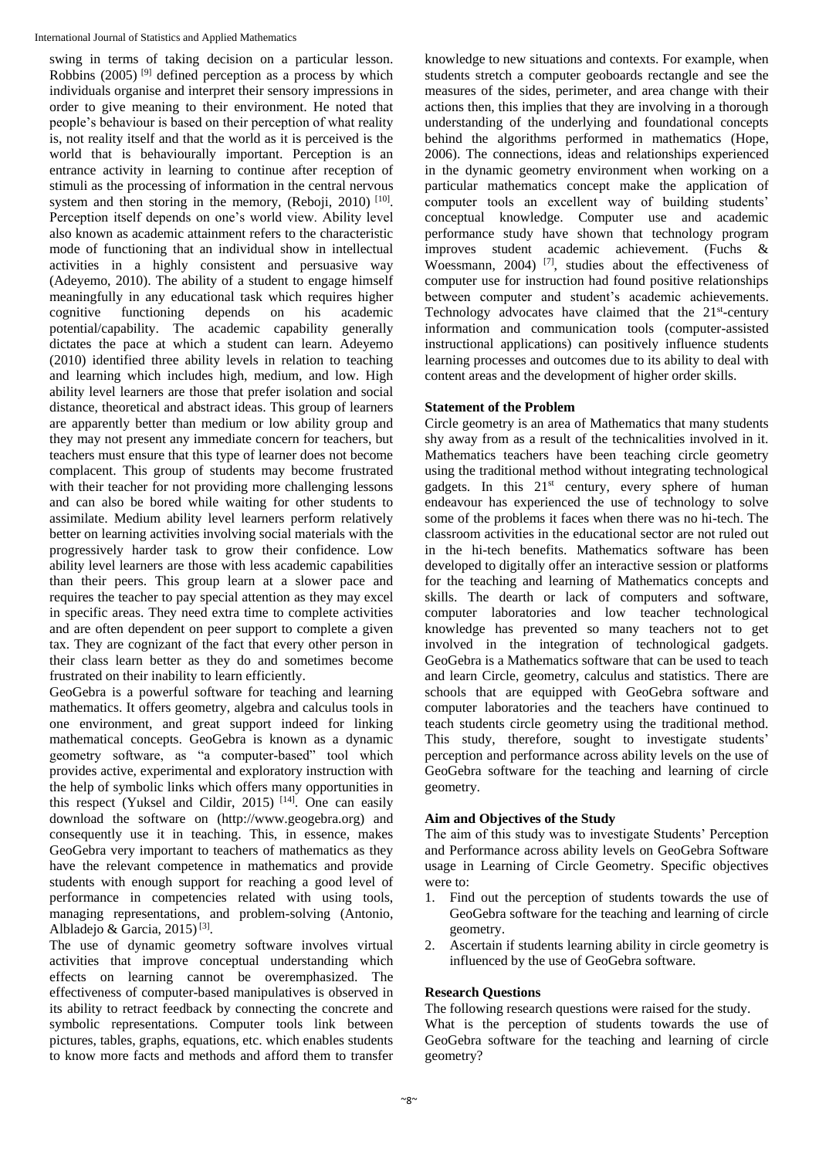swing in terms of taking decision on a particular lesson. Robbins  $(2005)$ <sup>[9]</sup> defined perception as a process by which individuals organise and interpret their sensory impressions in order to give meaning to their environment. He noted that people's behaviour is based on their perception of what reality is, not reality itself and that the world as it is perceived is the world that is behaviourally important. Perception is an entrance activity in learning to continue after reception of stimuli as the processing of information in the central nervous system and then storing in the memory, (Reboji, 2010)  $[10]$ . Perception itself depends on one's world view. Ability level also known as academic attainment refers to the characteristic mode of functioning that an individual show in intellectual activities in a highly consistent and persuasive way (Adeyemo, 2010). The ability of a student to engage himself meaningfully in any educational task which requires higher cognitive functioning depends on his academic potential/capability. The academic capability generally dictates the pace at which a student can learn. Adeyemo (2010) identified three ability levels in relation to teaching and learning which includes high, medium, and low. High ability level learners are those that prefer isolation and social distance, theoretical and abstract ideas. This group of learners are apparently better than medium or low ability group and they may not present any immediate concern for teachers, but teachers must ensure that this type of learner does not become complacent. This group of students may become frustrated with their teacher for not providing more challenging lessons and can also be bored while waiting for other students to assimilate. Medium ability level learners perform relatively better on learning activities involving social materials with the progressively harder task to grow their confidence. Low ability level learners are those with less academic capabilities than their peers. This group learn at a slower pace and requires the teacher to pay special attention as they may excel in specific areas. They need extra time to complete activities and are often dependent on peer support to complete a given tax. They are cognizant of the fact that every other person in their class learn better as they do and sometimes become frustrated on their inability to learn efficiently.

GeoGebra is a powerful software for teaching and learning mathematics. It offers geometry, algebra and calculus tools in one environment, and great support indeed for linking mathematical concepts. GeoGebra is known as a dynamic geometry software, as "a computer-based" tool which provides active, experimental and exploratory instruction with the help of symbolic links which offers many opportunities in this respect (Yuksel and Cildir, 2015) [14] . One can easily download the software on (http://www.geogebra.org) and consequently use it in teaching. This, in essence, makes GeoGebra very important to teachers of mathematics as they have the relevant competence in mathematics and provide students with enough support for reaching a good level of performance in competencies related with using tools, managing representations, and problem-solving (Antonio, Albladejo & Garcia, 2015)<sup>[3]</sup>.

The use of dynamic geometry software involves virtual activities that improve conceptual understanding which effects on learning cannot be overemphasized. The effectiveness of computer-based manipulatives is observed in its ability to retract feedback by connecting the concrete and symbolic representations. Computer tools link between pictures, tables, graphs, equations, etc. which enables students to know more facts and methods and afford them to transfer knowledge to new situations and contexts. For example, when students stretch a computer geoboards rectangle and see the measures of the sides, perimeter, and area change with their actions then, this implies that they are involving in a thorough understanding of the underlying and foundational concepts behind the algorithms performed in mathematics (Hope, 2006). The connections, ideas and relationships experienced in the dynamic geometry environment when working on a particular mathematics concept make the application of computer tools an excellent way of building students' conceptual knowledge. Computer use and academic performance study have shown that technology program improves student academic achievement. (Fuchs & Woessmann, 2004)<sup>[7]</sup>, studies about the effectiveness of computer use for instruction had found positive relationships between computer and student's academic achievements. Technology advocates have claimed that the 21<sup>st</sup>-century information and communication tools (computer-assisted instructional applications) can positively influence students learning processes and outcomes due to its ability to deal with content areas and the development of higher order skills.

# **Statement of the Problem**

Circle geometry is an area of Mathematics that many students shy away from as a result of the technicalities involved in it. Mathematics teachers have been teaching circle geometry using the traditional method without integrating technological gadgets. In this  $21<sup>st</sup>$  century, every sphere of human endeavour has experienced the use of technology to solve some of the problems it faces when there was no hi-tech. The classroom activities in the educational sector are not ruled out in the hi-tech benefits. Mathematics software has been developed to digitally offer an interactive session or platforms for the teaching and learning of Mathematics concepts and skills. The dearth or lack of computers and software, computer laboratories and low teacher technological knowledge has prevented so many teachers not to get involved in the integration of technological gadgets. GeoGebra is a Mathematics software that can be used to teach and learn Circle, geometry, calculus and statistics. There are schools that are equipped with GeoGebra software and computer laboratories and the teachers have continued to teach students circle geometry using the traditional method. This study, therefore, sought to investigate students' perception and performance across ability levels on the use of GeoGebra software for the teaching and learning of circle geometry.

# **Aim and Objectives of the Study**

The aim of this study was to investigate Students' Perception and Performance across ability levels on GeoGebra Software usage in Learning of Circle Geometry. Specific objectives were to:

- 1. Find out the perception of students towards the use of GeoGebra software for the teaching and learning of circle geometry.
- 2. Ascertain if students learning ability in circle geometry is influenced by the use of GeoGebra software.

# **Research Questions**

The following research questions were raised for the study. What is the perception of students towards the use of GeoGebra software for the teaching and learning of circle geometry?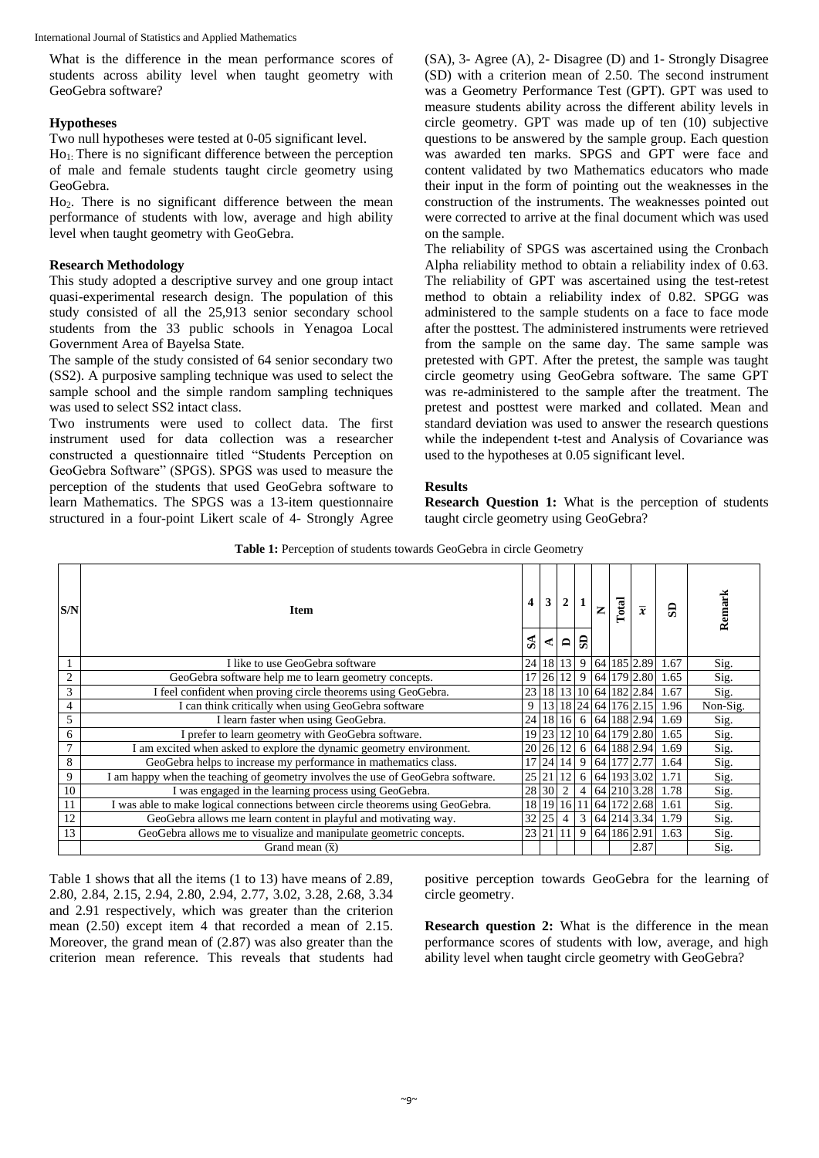What is the difference in the mean performance scores of students across ability level when taught geometry with GeoGebra software?

#### **Hypotheses**

Two null hypotheses were tested at 0-05 significant level.

 $Ho<sub>1</sub>$ : There is no significant difference between the perception of male and female students taught circle geometry using GeoGebra.

Ho2. There is no significant difference between the mean performance of students with low, average and high ability level when taught geometry with GeoGebra.

#### **Research Methodology**

This study adopted a descriptive survey and one group intact quasi-experimental research design. The population of this study consisted of all the 25,913 senior secondary school students from the 33 public schools in Yenagoa Local Government Area of Bayelsa State.

The sample of the study consisted of 64 senior secondary two (SS2). A purposive sampling technique was used to select the sample school and the simple random sampling techniques was used to select SS2 intact class.

Two instruments were used to collect data. The first instrument used for data collection was a researcher constructed a questionnaire titled "Students Perception on GeoGebra Software" (SPGS). SPGS was used to measure the perception of the students that used GeoGebra software to learn Mathematics. The SPGS was a 13-item questionnaire structured in a four-point Likert scale of 4- Strongly Agree (SA), 3- Agree (A), 2- Disagree (D) and 1- Strongly Disagree (SD) with a criterion mean of 2.50. The second instrument was a Geometry Performance Test (GPT). GPT was used to measure students ability across the different ability levels in circle geometry. GPT was made up of ten (10) subjective questions to be answered by the sample group. Each question was awarded ten marks. SPGS and GPT were face and content validated by two Mathematics educators who made their input in the form of pointing out the weaknesses in the construction of the instruments. The weaknesses pointed out were corrected to arrive at the final document which was used on the sample.

The reliability of SPGS was ascertained using the Cronbach Alpha reliability method to obtain a reliability index of 0.63. The reliability of GPT was ascertained using the test-retest method to obtain a reliability index of 0.82. SPGG was administered to the sample students on a face to face mode after the posttest. The administered instruments were retrieved from the sample on the same day. The same sample was pretested with GPT. After the pretest, the sample was taught circle geometry using GeoGebra software. The same GPT was re-administered to the sample after the treatment. The pretest and posttest were marked and collated. Mean and standard deviation was used to answer the research questions while the independent t-test and Analysis of Covariance was used to the hypotheses at 0.05 significant level.

#### **Results**

**Research Question 1:** What is the perception of students taught circle geometry using GeoGebra?

Table 1: Perception of students towards GeoGebra in circle Geometry

| S/N            | <b>Item</b>                                                                     | 4<br>$S_A$ | 3<br>$\mathbf{A}$ | 2<br>$\Box$     |                | z | Total | $\overline{x}$          | ခ                                    | Remark   |
|----------------|---------------------------------------------------------------------------------|------------|-------------------|-----------------|----------------|---|-------|-------------------------|--------------------------------------|----------|
|                | I like to use GeoGebra software                                                 | 24         | 18                | 13 9            |                |   |       | 64 185 2.89             | 1.67                                 | Sig.     |
| $\overline{2}$ | GeoGebra software help me to learn geometry concepts.                           | 17         |                   |                 |                |   |       |                         | 26   12   9   64   179   2.80   1.65 | Sig.     |
| 3              | I feel confident when proving circle theorems using GeoGebra.                   | 23         |                   |                 |                |   |       | 18 13 10 64 182 2.84    | 1.67                                 | Sig.     |
| 4              | I can think critically when using GeoGebra software                             | 9          |                   |                 |                |   |       |                         | 13 18 24 64 176 2.15 1.96            | Non-Sig. |
| 5              | I learn faster when using GeoGebra.                                             | 24         |                   |                 |                |   |       | 18 16 6 64 188 2.94     | 1.69                                 | Sig.     |
| 6              | I prefer to learn geometry with GeoGebra software.                              |            |                   |                 |                |   |       |                         | 19 23 12 10 64 179 2.80 1.65         | Sig.     |
| $\mathcal{I}$  | I am excited when asked to explore the dynamic geometry environment.            |            |                   |                 |                |   |       | 20 26 12 6 64 188 2.94  | 1.69                                 | Sig.     |
| 8              | GeoGebra helps to increase my performance in mathematics class.                 | 17         |                   | 24 14 9         |                |   |       | 64 177 2.77             | 1.64                                 | Sig.     |
| 9              | I am happy when the teaching of geometry involves the use of GeoGebra software. | 25         | 21                | 12 <sub>l</sub> |                |   |       | 6 64 193 3.02           | 1.71                                 | Sig.     |
| 10             | I was engaged in the learning process using GeoGebra.                           | 28 30      |                   | $\overline{2}$  | $\overline{4}$ |   |       | 64 210 3.28             | 1.78                                 | Sig.     |
| 11             | I was able to make logical connections between circle theorems using GeoGebra.  |            |                   |                 |                |   |       | 18 19 16 11 64 172 2.68 | 1.61                                 | Sig.     |
| 12             | GeoGebra allows me learn content in playful and motivating way.                 |            | 32 25             | $\overline{4}$  | 3              |   |       | 64 214 3.34             | 1.79                                 | Sig.     |
| 13             | GeoGebra allows me to visualize and manipulate geometric concepts.              |            | 23 21             | <sup>11</sup>   | 9              |   |       |                         | $64$ 186 2.91 1.63                   | Sig.     |
|                | Grand mean $(\bar{x})$                                                          |            |                   |                 |                |   |       | 2.87                    |                                      | Sig.     |

Table 1 shows that all the items (1 to 13) have means of 2.89, 2.80, 2.84, 2.15, 2.94, 2.80, 2.94, 2.77, 3.02, 3.28, 2.68, 3.34 and 2.91 respectively, which was greater than the criterion mean (2.50) except item 4 that recorded a mean of 2.15. Moreover, the grand mean of (2.87) was also greater than the criterion mean reference. This reveals that students had positive perception towards GeoGebra for the learning of circle geometry.

**Research question 2:** What is the difference in the mean performance scores of students with low, average, and high ability level when taught circle geometry with GeoGebra?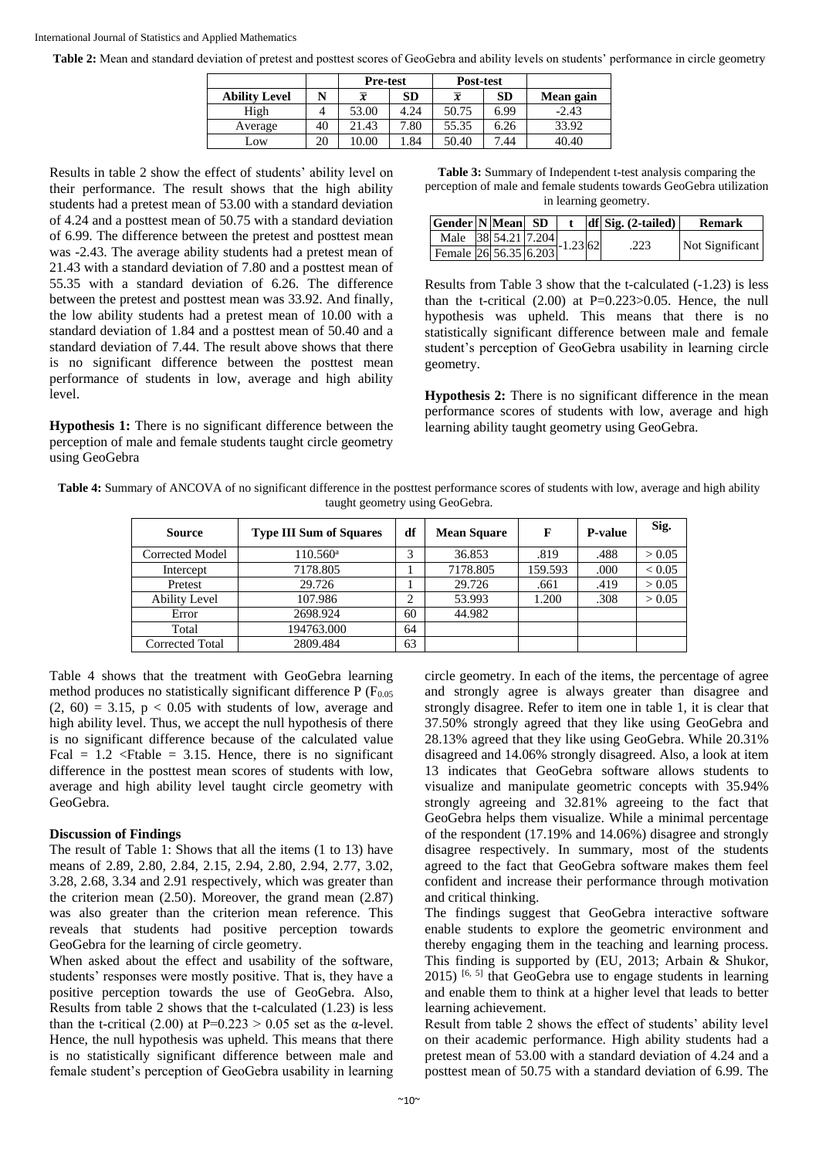#### International Journal of Statistics and Applied Mathematics

**Table 2:** Mean and standard deviation of pretest and posttest scores of GeoGebra and ability levels on students' performance in circle geometry

|                      |    | <b>Pre-test</b> |      | Post-test      |           |           |
|----------------------|----|-----------------|------|----------------|-----------|-----------|
| <b>Ability Level</b> | N  | $\overline{x}$  | SD   | $\overline{x}$ | <b>SD</b> | Mean gain |
| High                 |    | 53.00           | 4.24 | 50.75          | 6.99      | $-2.43$   |
| Average              | 40 | 21.43           | 7.80 | 55.35          | 6.26      | 33.92     |
| LOW                  | 20 | 10.00           | .84  | 50.40          | 7.44      | 40.40     |

Results in table 2 show the effect of students' ability level on their performance. The result shows that the high ability students had a pretest mean of 53.00 with a standard deviation of 4.24 and a posttest mean of 50.75 with a standard deviation of 6.99. The difference between the pretest and posttest mean was -2.43. The average ability students had a pretest mean of 21.43 with a standard deviation of 7.80 and a posttest mean of 55.35 with a standard deviation of 6.26. The difference between the pretest and posttest mean was 33.92. And finally, the low ability students had a pretest mean of 10.00 with a standard deviation of 1.84 and a posttest mean of 50.40 and a standard deviation of 7.44. The result above shows that there is no significant difference between the posttest mean performance of students in low, average and high ability level.

**Hypothesis 1:** There is no significant difference between the perception of male and female students taught circle geometry using GeoGebra

**Table 3:** Summary of Independent t-test analysis comparing the perception of male and female students towards GeoGebra utilization in learning geometry.

| Gender N Mean SD |  |  |                              | $df$ Sig. $(2-tailed)$ | <b>Remark</b>   |  |  |
|------------------|--|--|------------------------------|------------------------|-----------------|--|--|
|                  |  |  | Male 38 54.21 7.204 -1.23 62 | .223                   | Not Significant |  |  |
|                  |  |  |                              |                        |                 |  |  |

Results from Table 3 show that the t-calculated (-1.23) is less than the t-critical  $(2.00)$  at P=0.223>0.05. Hence, the null hypothesis was upheld. This means that there is no statistically significant difference between male and female student's perception of GeoGebra usability in learning circle geometry.

**Hypothesis 2:** There is no significant difference in the mean performance scores of students with low, average and high learning ability taught geometry using GeoGebra.

| Table 4: Summary of ANCOVA of no significant difference in the posttest performance scores of students with low, average and high ability |
|-------------------------------------------------------------------------------------------------------------------------------------------|
| taught geometry using GeoGebra.                                                                                                           |

| Source                 | <b>Type III Sum of Squares</b> | df     | <b>Mean Square</b> | F       | <b>P-value</b> | Sig.       |
|------------------------|--------------------------------|--------|--------------------|---------|----------------|------------|
| Corrected Model        | $110.560^{\rm a}$              | 3      | 36.853             | .819    | .488           | > 0.05     |
| Intercept              | 7178.805                       |        | 7178.805           | 159.593 | .000           | ${}< 0.05$ |
| Pretest                | 29.726                         |        | 29.726             | .661    | .419           | > 0.05     |
| <b>Ability Level</b>   | 107.986                        | ◠<br>∠ | 53.993             | 1.200   | .308           | > 0.05     |
| Error                  | 2698.924                       | 60     | 44.982             |         |                |            |
| Total                  | 194763.000                     | 64     |                    |         |                |            |
| <b>Corrected Total</b> | 2809.484                       | 63     |                    |         |                |            |

Table 4 shows that the treatment with GeoGebra learning method produces no statistically significant difference  $P(F_{0.05})$  $(2, 60) = 3.15$ ,  $p < 0.05$  with students of low, average and high ability level. Thus, we accept the null hypothesis of there is no significant difference because of the calculated value Fcal =  $1.2 \leq$ Ftable =  $3.15$ . Hence, there is no significant difference in the posttest mean scores of students with low, average and high ability level taught circle geometry with GeoGebra.

#### **Discussion of Findings**

The result of Table 1: Shows that all the items (1 to 13) have means of 2.89, 2.80, 2.84, 2.15, 2.94, 2.80, 2.94, 2.77, 3.02, 3.28, 2.68, 3.34 and 2.91 respectively, which was greater than the criterion mean (2.50). Moreover, the grand mean (2.87) was also greater than the criterion mean reference. This reveals that students had positive perception towards GeoGebra for the learning of circle geometry.

When asked about the effect and usability of the software, students' responses were mostly positive. That is, they have a positive perception towards the use of GeoGebra. Also, Results from table 2 shows that the t-calculated (1.23) is less than the t-critical (2.00) at  $P=0.223 > 0.05$  set as the α-level. Hence, the null hypothesis was upheld. This means that there is no statistically significant difference between male and female student's perception of GeoGebra usability in learning

circle geometry. In each of the items, the percentage of agree and strongly agree is always greater than disagree and strongly disagree. Refer to item one in table 1, it is clear that 37.50% strongly agreed that they like using GeoGebra and 28.13% agreed that they like using GeoGebra. While 20.31% disagreed and 14.06% strongly disagreed. Also, a look at item 13 indicates that GeoGebra software allows students to visualize and manipulate geometric concepts with 35.94% strongly agreeing and 32.81% agreeing to the fact that GeoGebra helps them visualize. While a minimal percentage of the respondent (17.19% and 14.06%) disagree and strongly disagree respectively. In summary, most of the students agreed to the fact that GeoGebra software makes them feel confident and increase their performance through motivation and critical thinking.

The findings suggest that GeoGebra interactive software enable students to explore the geometric environment and thereby engaging them in the teaching and learning process. This finding is supported by (EU, 2013; Arbain & Shukor,  $2015$ ) <sup>[6, 5]</sup> that GeoGebra use to engage students in learning and enable them to think at a higher level that leads to better learning achievement.

Result from table 2 shows the effect of students' ability level on their academic performance. High ability students had a pretest mean of 53.00 with a standard deviation of 4.24 and a posttest mean of 50.75 with a standard deviation of 6.99. The